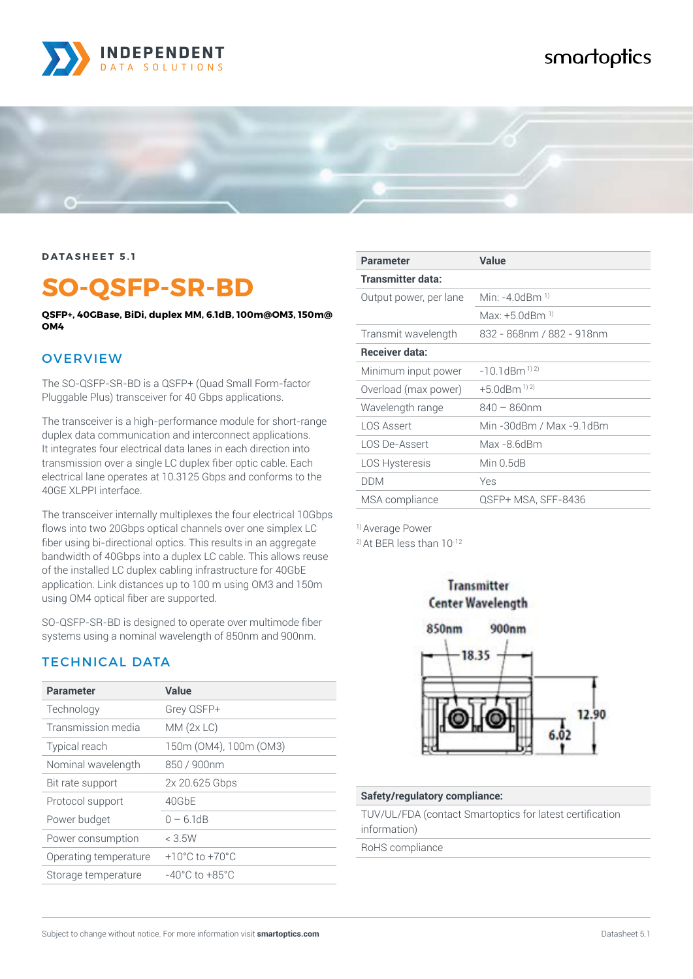

# smartoptics



#### **DATASHEET 5.1**

# **SO-QSFP-SR-BD**

**QSFP+, 40GBase, BiDi, duplex MM, 6.1dB, 100m@OM3, 150m@ OM4**

#### **OVERVIEW**

The SO-QSFP-SR-BD is a QSFP+ (Quad Small Form-factor Pluggable Plus) transceiver for 40 Gbps applications.

The transceiver is a high-performance module for short-range duplex data communication and interconnect applications. It integrates four electrical data lanes in each direction into transmission over a single LC duplex fiber optic cable. Each electrical lane operates at 10.3125 Gbps and conforms to the 40GE XLPPI interface.

The transceiver internally multiplexes the four electrical 10Gbps flows into two 20Gbps optical channels over one simplex LC fiber using bi-directional optics. This results in an aggregate bandwidth of 40Gbps into a duplex LC cable. This allows reuse of the installed LC duplex cabling infrastructure for 40GbE application. Link distances up to 100 m using OM3 and 150m using OM4 optical fiber are supported.

SO-QSFP-SR-BD is designed to operate over multimode fiber systems using a nominal wavelength of 850nm and 900nm.

#### TECHNICAL DATA

| <b>Parameter</b>      | Value                              |
|-----------------------|------------------------------------|
| Technology            | Grey QSFP+                         |
| Transmission media    | MM(2x LC)                          |
| <b>Typical reach</b>  | 150m (OM4), 100m (OM3)             |
| Nominal wavelength    | 850 / 900nm                        |
| Bit rate support      | 2x 20.625 Gbps                     |
| Protocol support      | 40GbE                              |
| Power budget          | $0 - 61$ dB                        |
| Power consumption     | $<$ 3.5W                           |
| Operating temperature | $+10^{\circ}$ C to $+70^{\circ}$ C |
| Storage temperature   | $-40^{\circ}$ C to $+85^{\circ}$ C |

| <b>Parameter</b>       | Value                      |
|------------------------|----------------------------|
| Transmitter data:      |                            |
| Output power, per lane | Min: $-4$ 0dBm $^{1}$      |
|                        | Max: $+5$ 0dBm $^{1}$      |
| Transmit wavelength    | 832 - 868nm / 882 - 918nm  |
| <b>Receiver data:</b>  |                            |
| Minimum input power    | $-10$ 1dBm <sup>1)2)</sup> |
| Overload (max power)   | $+5.0$ dBm <sup>1)2)</sup> |
| Wavelength range       | $840 - 860$ nm             |
| LOS Assert             | Min -30dBm / Max -9.1dBm   |
| LOS De-Assert          | Max -8 6dBm                |
| <b>LOS Hysteresis</b>  | Min $0.5$ d $B$            |
| <b>DDM</b>             | Yes                        |
| MSA compliance         | QSFP+ MSA, SFF-8436        |

1) Average Power 2) At BER less than 10-12



Transmitter

#### **Safety/regulatory compliance:**

TUV/UL/FDA (contact Smartoptics for latest certification information)

RoHS compliance